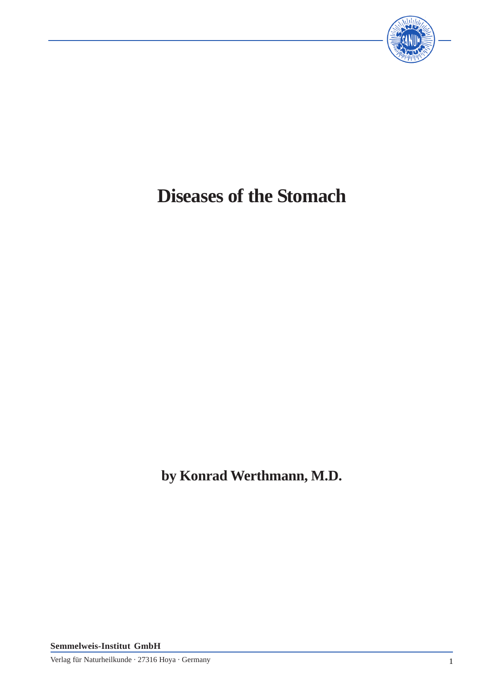

# **Diseases of the Stomach**

**by Konrad Werthmann, M.D.**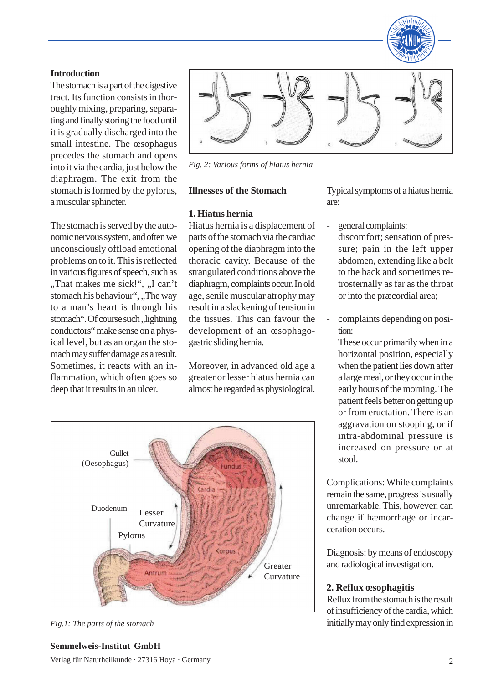

#### **Introduction**

The stomach is a part of the digestive tract. Its function consists in thoroughly mixing, preparing, separating and finally storing the food until it is gradually discharged into the small intestine. The œsophagus precedes the stomach and opens into it via the cardia, just below the diaphragm. The exit from the stomach is formed by the pylorus, a muscular sphincter.

The stomach is served by the autonomic nervous system, and often we unconsciously offload emotional problems on to it. This is reflected in various figures of speech, such as "That makes me sick!", "I can't stomach his behaviour", "The way to a man's heart is through his stomach". Of course such , lightning conductors" make sense on a physical level, but as an organ the stomach may suffer damage as a result. Sometimes, it reacts with an inflammation, which often goes so deep that it results in an ulcer.



*Fig. 2: Various forms of hiatus hernia*

#### **Illnesses of the Stomach**

#### **1. Hiatus hernia**

Hiatus hernia is a displacement of parts of the stomach via the cardiac opening of the diaphragm into the thoracic cavity. Because of the strangulated conditions above the diaphragm, complaints occur. In old age, senile muscular atrophy may result in a slackening of tension in the tissues. This can favour the development of an œsophagogastric sliding hernia.

Moreover, in advanced old age a greater or lesser hiatus hernia can almost be regarded as physiological.



#### **Semmelweis-Institut GmbH**

Verlag für Naturheilkunde · 27316 Hoya · Germany 2

Typical symptoms of a hiatus hernia are:

general complaints:

discomfort; sensation of pressure; pain in the left upper abdomen, extending like a belt to the back and sometimes retrosternally as far as the throat or into the præcordial area;

complaints depending on position:

These occur primarily when in a horizontal position, especially when the patient lies down after a large meal, or they occur in the early hours of the morning. The patient feels better on getting up or from eructation. There is an aggravation on stooping, or if intra-abdominal pressure is increased on pressure or at stool.

Complications: While complaints remain the same, progress is usually unremarkable. This, however, can change if hæmorrhage or incarceration occurs.

Diagnosis: by means of endoscopy and radiological investigation.

#### **2. Reflux œsophagitis**

Reflux from the stomach is the result of insufficiency of the cardia, which *Fig.1: The parts of the stomach* initially may only find expression in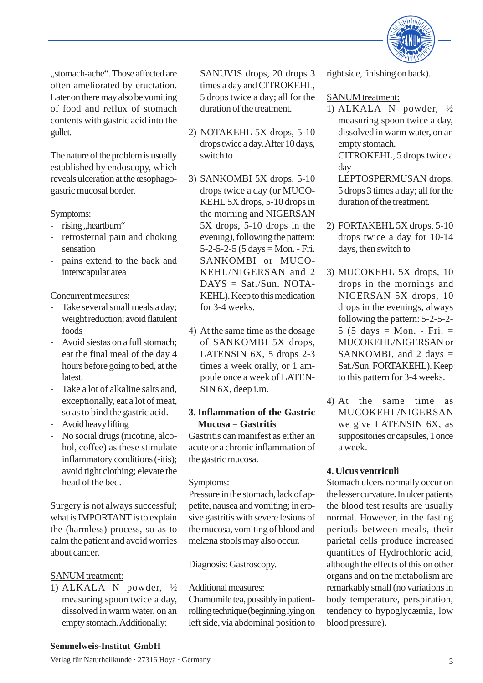

"stomach-ache". Those affected are often ameliorated by eructation. Later on there may also be vomiting of food and reflux of stomach contents with gastric acid into the gullet.

The nature of the problem is usually established by endoscopy, which reveals ulceration at the œsophagogastric mucosal border.

Symptoms:

- rising, heartburn"
- retrosternal pain and choking sensation
- pains extend to the back and interscapular area

Concurrent measures:

- Take several small meals a day; weight reduction; avoid flatulent foods
- Avoid siestas on a full stomach; eat the final meal of the day 4 hours before going to bed, at the latest.
- Take a lot of alkaline salts and, exceptionally, eat a lot of meat, so as to bind the gastric acid.
- Avoid heavy lifting
- No social drugs (nicotine, alcohol, coffee) as these stimulate inflammatory conditions (-itis); avoid tight clothing; elevate the head of the bed.

Surgery is not always successful; what is IMPORTANT is to explain the (harmless) process, so as to calm the patient and avoid worries about cancer.

## SANUM treatment:

1) ALKALA N powder, ½ measuring spoon twice a day, dissolved in warm water, on an empty stomach. Additionally:

SANUVIS drops, 20 drops 3 times a day and CITROKEHL, 5 drops twice a day; all for the duration of the treatment.

- 2) NOTAKEHL 5X drops, 5-10 drops twice a day. After 10 days, switch to
- 3) SANKOMBI 5X drops, 5-10 drops twice a day (or MUCO-KEHL 5X drops, 5-10 drops in the morning and NIGERSAN 5X drops, 5-10 drops in the evening), following the pattern:  $5-2-5-2-5$  (5 days = Mon. - Fri. SANKOMBI or MUCO-KEHL/NIGERSAN and 2  $DAYS = Sat./Sun. NOTA-$ KEHL). Keep to this medication for 3-4 weeks.
- 4) At the same time as the dosage of SANKOMBI 5X drops, LATENSIN 6X, 5 drops 2-3 times a week orally, or 1 ampoule once a week of LATEN-SIN 6X, deep i.m.

## **3.Inflammation of the Gastric Mucosa = Gastritis**

Gastritis can manifest as either an acute or a chronic inflammation of the gastric mucosa.

#### Symptoms:

Pressure in the stomach, lack of appetite, nausea and vomiting; in erosive gastritis with severe lesions of the mucosa, vomiting of blood and melæna stools may also occur.

Diagnosis: Gastroscopy.

Additional measures:

Chamomile tea, possibly in patientrolling technique (beginning lying on left side, via abdominal position to right side, finishing on back).

## SANUM treatment:

1) ALKALA N powder, ½ measuring spoon twice a day, dissolved in warm water, on an empty stomach.

CITROKEHL, 5 drops twice a day

LEPTOSPERMUSAN drops, 5 drops 3 times a day; all for the duration of the treatment.

- 2) FORTAKEHL 5X drops, 5-10 drops twice a day for 10-14 days, then switch to
- 3) MUCOKEHL 5X drops, 10 drops in the mornings and NIGERSAN 5X drops, 10 drops in the evenings, always following the pattern: 5-2-5-2-  $5$  (5 days = Mon. - Fri. = MUCOKEHL/NIGERSAN or SANKOMBI, and 2 days  $=$ Sat./Sun. FORTAKEHL). Keep to this pattern for 3-4 weeks.
- 4) At the same time as MUCOKEHL/NIGERSAN we give LATENSIN 6X, as suppositories or capsules, 1 once a week.

## **4. Ulcus ventriculi**

Stomach ulcers normally occur on the lesser curvature. In ulcer patients the blood test results are usually normal. However, in the fasting periods between meals, their parietal cells produce increased quantities of Hydrochloric acid, although the effects of this on other organs and on the metabolism are remarkably small (no variations in body temperature, perspiration, tendency to hypoglycæmia, low blood pressure).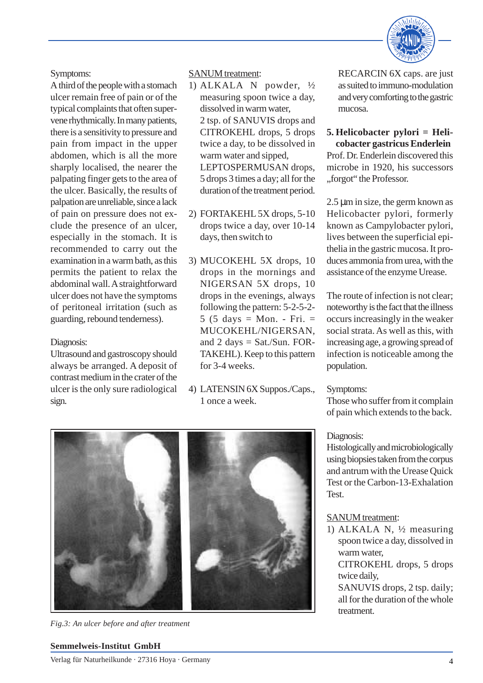

Symptoms:

A third of the people with a stomach ulcer remain free of pain or of the typical complaints that often supervene rhythmically. In many patients, there is a sensitivity to pressure and pain from impact in the upper abdomen, which is all the more sharply localised, the nearer the palpating finger gets to the area of the ulcer. Basically, the results of palpation are unreliable, since a lack of pain on pressure does not exclude the presence of an ulcer, especially in the stomach. It is recommended to carry out the examination in a warm bath, as this permits the patient to relax the abdominal wall. A straightforward ulcer does not have the symptoms of peritoneal irritation (such as guarding, rebound tenderness).

#### Diagnosis:

Ultrasound and gastroscopy should always be arranged. A deposit of contrast medium in the crater of the ulcer is the only sure radiological sign.

#### SANUM treatment:

- 1) ALKALA N powder, ½ measuring spoon twice a day, dissolved in warm water, 2 tsp. of SANUVIS drops and CITROKEHL drops, 5 drops twice a day, to be dissolved in warm water and sipped, LEPTOSPERMUSAN drops, 5 drops 3 times a day; all for the duration of the treatment period.
- 2) FORTAKEHL 5X drops, 5-10 drops twice a day, over 10-14 days, then switch to
- 3) MUCOKEHL 5X drops, 10 drops in the mornings and NIGERSAN 5X drops, 10 drops in the evenings, always following the pattern: 5-2-5-2-  $5$  (5 days = Mon. - Fri. = MUCOKEHL/NIGERSAN, and  $2 \text{ days} = \text{Sat.}/\text{Sun. FOR}$ TAKEHL). Keep to this pattern for 3-4 weeks.
- 4) LATENSIN 6X Suppos./Caps., 1 once a week.

RECARCIN 6X caps. are just as suited to immuno-modulation and very comforting to the gastric mucosa.

#### **5. Helicobacter pylori = Helicobacter gastricus Enderlein**

Prof. Dr. Enderlein discovered this microbe in 1920, his successors "forgot" the Professor.

2.5 µm in size, the germ known as Helicobacter pylori, formerly known as Campylobacter pylori, lives between the superficial epithelia in the gastric mucosa. It produces ammonia from urea, with the assistance of the enzyme Urease.

The route of infection is not clear; noteworthy is the fact that the illness occurs increasingly in the weaker social strata. As well as this, with increasing age, a growing spread of infection is noticeable among the population.

#### Symptoms:

Those who suffer from it complain of pain which extends to the back.

#### Diagnosis:

Histologically and microbiologically using biopsies taken from the corpus and antrum with the Urease Quick Test or the Carbon-13-Exhalation **Test** 

#### SANUM treatment:

1) ALKALA N, ½ measuring spoon twice a day, dissolved in warm water,

CITROKEHL drops, 5 drops twice daily,

SANUVIS drops, 2 tsp. daily; all for the duration of the whole treatment.



*Fig.3: An ulcer before and after treatment*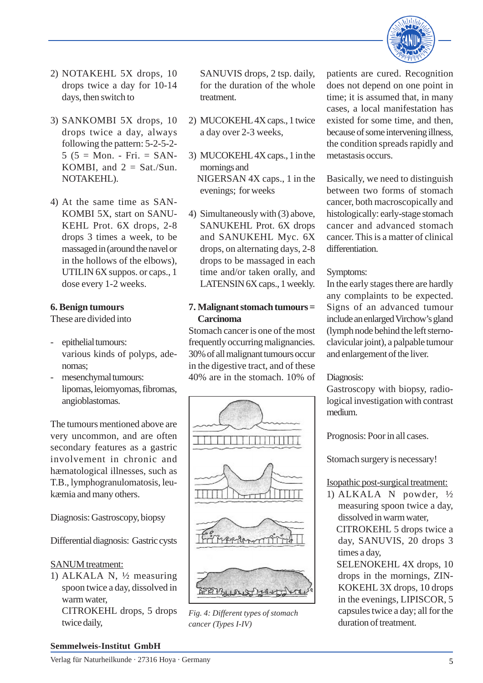

- 2) NOTAKEHL 5X drops, 10 drops twice a day for 10-14 days, then switch to
- 3) SANKOMBI 5X drops, 10 drops twice a day, always following the pattern: 5-2-5-2-  $5 (5 = Mon. - Fri. = SAN-$ KOMBI, and  $2 =$  Sat./Sun. NOTAKEHL).
- 4) At the same time as SAN-KOMBI 5X, start on SANU-KEHL Prot. 6X drops, 2-8 drops 3 times a week, to be massaged in (around the navel or in the hollows of the elbows), UTILIN 6X suppos. or caps., 1 dose every 1-2 weeks.

## **6. Benign tumours**

These are divided into

- epithelial tumours: various kinds of polyps, adenomas;
- mesenchymal tumours: lipomas, leiomyomas, fibromas, angioblastomas.

The tumours mentioned above are very uncommon, and are often secondary features as a gastric involvement in chronic and hæmatological illnesses, such as T.B., lymphogranulomatosis, leukæmia and many others.

Diagnosis: Gastroscopy, biopsy

Differential diagnosis: Gastric cysts

#### SANUM treatment:

1) ALKALA N, ½ measuring spoon twice a day, dissolved in warm water, CITROKEHL drops, 5 drops twice daily,

SANUVIS drops, 2 tsp. daily, for the duration of the whole treatment.

- 2) MUCOKEHL 4X caps., 1 twice a day over 2-3 weeks,
- 3) MUCOKEHL 4X caps., 1 in the mornings and NIGERSAN 4X caps., 1 in the evenings; for weeks
- 4) Simultaneously with (3) above, SANUKEHL Prot. 6X drops and SANUKEHL Myc. 6X drops, on alternating days, 2-8 drops to be massaged in each time and/or taken orally, and LATENSIN 6X caps., 1 weekly.

## **7. Malignant stomach tumours = Carcinoma**

Stomach cancer is one of the most frequently occurring malignancies. 30% of all malignant tumours occur in the digestive tract, and of these 40% are in the stomach. 10% of



*Fig. 4: Different types of stomach cancer (Types I-IV)*

patients are cured. Recognition does not depend on one point in time; it is assumed that, in many cases, a local manifestation has existed for some time, and then, because of some intervening illness, the condition spreads rapidly and metastasis occurs.

Basically, we need to distinguish between two forms of stomach cancer, both macroscopically and histologically: early-stage stomach cancer and advanced stomach cancer. This is a matter of clinical differentiation.

## Symptoms:

In the early stages there are hardly any complaints to be expected. Signs of an advanced tumour include an enlarged Virchow's gland (lymph node behind the left sternoclavicular joint), a palpable tumour and enlargement of the liver.

#### Diagnosis:

Gastroscopy with biopsy, radiological investigation with contrast medium.

Prognosis: Poor in all cases.

Stomach surgery is necessary!

## Isopathic post-surgical treatment:

- 1) ALKALA N powder, ½ measuring spoon twice a day, dissolved in warm water, CITROKEHL 5 drops twice a day, SANUVIS, 20 drops 3 times a day,
	- SELENOKEHL 4X drops, 10 drops in the mornings, ZIN-KOKEHL 3X drops, 10 drops in the evenings, LIPISCOR, 5 capsules twice a day; all for the duration of treatment.